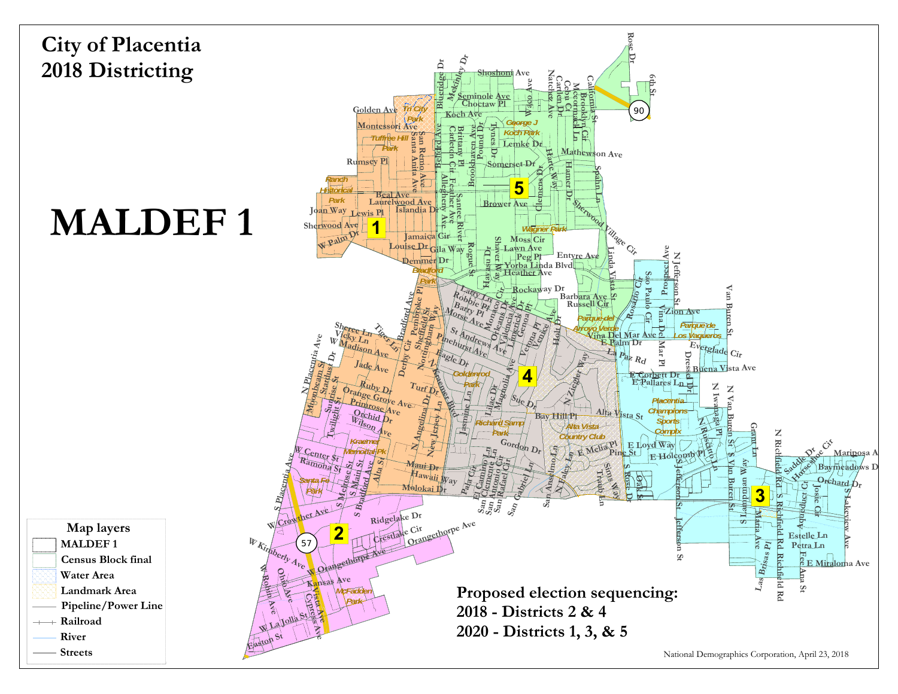